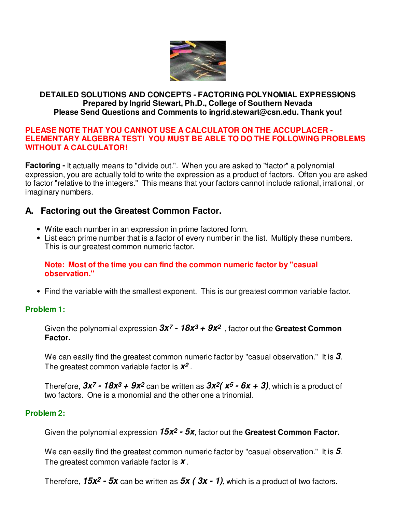

### **DETAILED SOLUTIONS AND CONCEPTS - FACTORING POLYNOMIAL EXPRESSIONS Prepared by Ingrid Stewart, Ph.D., College of Southern Nevada Please Send Questions and Comments to ingrid.stewart@csn.edu. Thank you!**

#### **PLEASE NOTE THAT YOU CANNOT USE A CALCULATOR ON THE ACCUPLACER - ELEMENTARY ALGEBRA TEST! YOU MUST BE ABLE TO DO THE FOLLOWING PROBLEMS WITHOUT A CALCULATOR!**

**Factoring -** It actually means to "divide out.". When you are asked to "factor" a polynomial expression, you are actually told to write the expression as a product of factors. Often you are asked to factor "relative to the integers." This means that your factors cannot include rational, irrational, or imaginary numbers.

# **A. Factoring out the Greatest Common Factor.**

- Write each number in an expression in prime factored form.
- List each prime number that is a factor of every number in the list. Multiply these numbers. This is our greatest common numeric factor.

### **Note: Most of the time you can find the common numeric factor by "casual observation."**

• Find the variable with the smallest exponent. This is our greatest common variable factor.

## **Problem 1:**

Given the polynomial expression **3x7 - 18x3 + 9x2** , factor out the **Greatest Common Factor.**

We can easily find the greatest common numeric factor by "casual observation." It is **3**. The greatest common variable factor is **x2** .

Therefore,  $3x^7$  -  $18x^3$  +  $9x^2$  can be written as  $3x^2(x^5 - 6x + 3)$ , which is a product of two factors. One is a monomial and the other one a trinomial.

## **Problem 2:**

Given the polynomial expression **15x2 - 5x**, factor out the **Greatest Common Factor.**

We can easily find the greatest common numeric factor by "casual observation." It is **5**. The greatest common variable factor is **x** .

Therefore,  $15x^2 - 5x$  can be written as  $5x (3x - 1)$ , which is a product of two factors.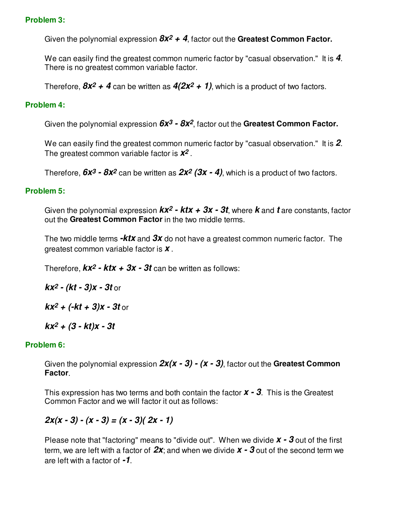### **Problem 3:**

Given the polynomial expression **8x2 + 4**, factor out the **Greatest Common Factor.**

We can easily find the greatest common numeric factor by "casual observation." It is **4**. There is no greatest common variable factor.

Therefore,  $8x^2 + 4$  can be written as  $4(2x^2 + 1)$ , which is a product of two factors.

### **Problem 4:**

Given the polynomial expression **6x3 - 8x2**, factor out the **Greatest Common Factor.**

We can easily find the greatest common numeric factor by "casual observation." It is **2**. The greatest common variable factor is **x2** .

Therefore,  $6x^3 - 8x^2$  can be written as  $2x^2$  ( $3x - 4$ ), which is a product of two factors.

### **Problem 5:**

Given the polynomial expression **kx2 - ktx + 3x - 3t**, where **k** and **t** are constants, factor out the **Greatest Common Factor** in the two middle terms.

The two middle terms **-ktx** and **3x** do not have a greatest common numeric factor. The greatest common variable factor is **x** .

Therefore,  $kx^2$  -  $ktx$  +  $3x$  -  $3t$  can be written as follows:

**kx2 - (kt - 3)x - 3t** or

 $kx^2 + (-kt + 3)x - 3t$  or

**kx2 + (3 - kt)x - 3t**

#### **Problem 6:**

Given the polynomial expression **2x(x - 3) - (x - 3)**, factor out the **Greatest Common Factor**.

This expression has two terms and both contain the factor **x - 3**. This is the Greatest Common Factor and we will factor it out as follows:

**2x(x - 3) - (x - 3) = (x - 3)( 2x - 1)**

Please note that "factoring" means to "divide out". When we divide  $x - 3$  out of the first term, we are left with a factor of **2x**; and when we divide **x - 3** out of the second term we are left with a factor of **-1**.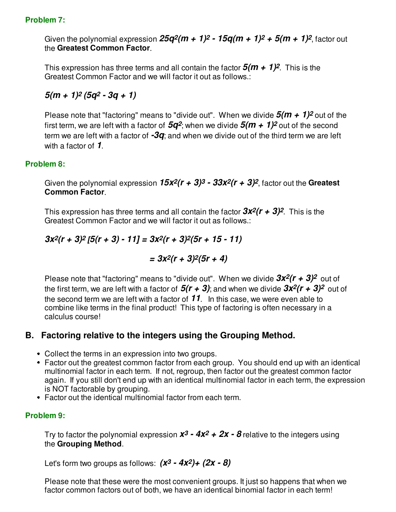### **Problem 7:**

Given the polynomial expression  $25q^2(m + 1)^2 - 15q(m + 1)^2 + 5(m + 1)^2$ , factor out the **Greatest Common Factor**.

This expression has three terms and all contain the factor **5(m + 1)2**. This is the Greatest Common Factor and we will factor it out as follows.:

**5(m + 1)2 (5q2 - 3q + 1)** 

Please note that "factoring" means to "divide out". When we divide  $5(m + 1)^2$  out of the first term, we are left with a factor of  $5q^2$ ; when we divide  $5(m + 1)^2$  out of the second term we are left with a factor of **-3q**; and when we divide out of the third term we are left with a factor of **1**.

### **Problem 8:**

Given the polynomial expression **15x2(r + 3)3 - 33x2(r + 3)2**, factor out the **Greatest Common Factor**.

This expression has three terms and all contain the factor  $3x^2(r + 3)^2$ . This is the Greatest Common Factor and we will factor it out as follows.:

**3x2(r + 3)2 [5(r + 3) - 11] = 3x2(r + 3)2(5r + 15 - 11)**

 $= 3x^2(r + 3)^2(5r + 4)$ 

Please note that "factoring" means to "divide out". When we divide  $3x^2(r + 3)^2$  out of the first term, we are left with a factor of  $5(r + 3)$ ; and when we divide  $3x^2(r + 3)^2$  out of the second term we are left with a factor of **11**. In this case, we were even able to combine like terms in the final product! This type of factoring is often necessary in a calculus course!

## **B. Factoring relative to the integers using the Grouping Method.**

- Collect the terms in an expression into two groups.
- Factor out the greatest common factor from each group. You should end up with an identical multinomial factor in each term. If not, regroup, then factor out the greatest common factor again. If you still don't end up with an identical multinomial factor in each term, the expression is NOT factorable by grouping.
- Factor out the identical multinomial factor from each term.

## **Problem 9:**

Try to factor the polynomial expression  $x^3 - 4x^2 + 2x - 8$  relative to the integers using the **Grouping Method**.

Let's form two groups as follows: **(x3 - 4x2)+ (2x - 8)** 

Please note that these were the most convenient groups. It just so happens that when we factor common factors out of both, we have an identical binomial factor in each term!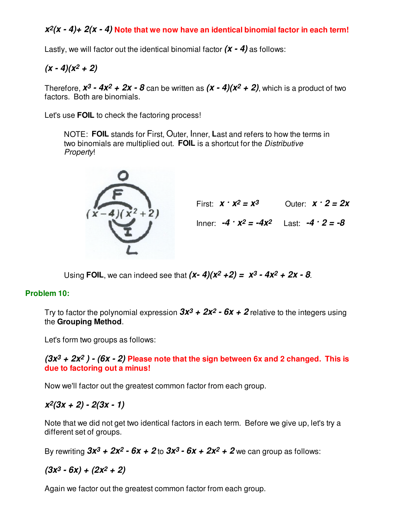## **x2(x - 4)+ 2(x - 4) Note that we now have an identical binomial factor in each term!**

Lastly, we will factor out the identical binomial factor **(x - 4)** as follows:

# $(x - 4)(x<sup>2</sup> + 2)$

Therefore,  $x^3 - 4x^2 + 2x - 8$  can be written as  $(x - 4)(x^2 + 2)$ , which is a product of two factors. Both are binomials.

Let's use **FOIL** to check the factoring process!

NOTE: **FOIL** stands for First, Outer, Inner, **L**ast and refers to how the terms in two binomials are multiplied out. **FOIL** is a shortcut for the Distributive Property!



First:  $x \cdot x^2 = x^3$  Outer:  $x \cdot 2 = 2x$ 

 $Inner: -4 \cdot x^2 = -4x^2$   $Last: -4 \cdot 2 = -8$ 

Using **FOIL**, we can indeed see that  $(x - 4)(x^2 + 2) = x^3 - 4x^2 + 2x - 8$ .

### **Problem 10:**

Try to factor the polynomial expression  $3x^3 + 2x^2 - 6x + 2$  relative to the integers using the **Grouping Method**.

Let's form two groups as follows:

### **(3x3 + 2x2 ) - (6x - 2) Please note that the sign between 6x and 2 changed. This is due to factoring out a minus!**

Now we'll factor out the greatest common factor from each group.

# **x2(3x + 2) - 2(3x - 1)**

Note that we did not get two identical factors in each term. Before we give up, let's try a different set of groups.

By rewriting  $3x^3 + 2x^2 - 6x + 2$  to  $3x^3 - 6x + 2x^2 + 2$  we can group as follows:

$$
(3x^3 - 6x) + (2x^2 + 2)
$$

Again we factor out the greatest common factor from each group.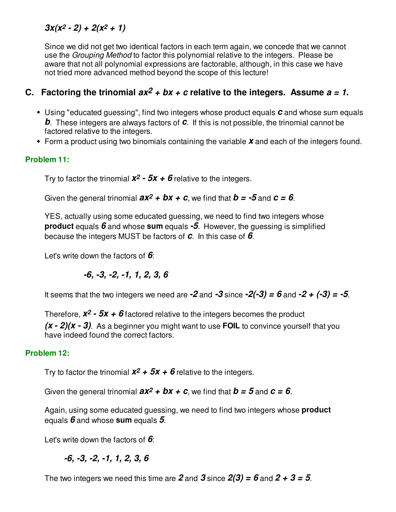# $3x(x^2 - 2) + 2(x^2 + 1)$

Since we did not get two identical factors in each term again, we concede that we cannot use the Grouping Method to factor this polynomial relative to the integers. Please be aware that not all polynomial expressions are factorable, although, in this case we have not tried more advanced method beyond the scope of this lecture!

# **C.** Factoring the trinomial  $ax^2 + bx + c$  relative to the integers. Assume  $a = 1$ .

- Using "educated guessing", find two integers whose product equals **c** and whose sum equals **b**. These integers are always factors of **c**. If this is not possible, the trinomial cannot be factored relative to the integers.
- Form a product using two binomials containing the variable **x** and each of the integers found.

# **Problem 11:**

Try to factor the trinomial  $x^2 - 5x + 6$  relative to the integers.

Given the general trinomial  $ax^2 + bx + c$ , we find that  $b = -5$  and  $c = 6$ .

YES, actually using some educated guessing, we need to find two integers whose **product** equals **6** and whose **sum** equals **-5**. However, the guessing is simplified because the integers MUST be factors of **c**. In this case of **6**.

Let's write down the factors of **6**:

$$
-6, -3, -2, -1, 1, 2, 3, 6
$$

It seems that the two integers we need are  $-2$  and  $-3$  since  $-2(-3) = 6$  and  $-2 + (-3) = -5$ .

Therefore,  $x^2 - 5x + 6$  factored relative to the integers becomes the product

**(x - 2)(x - 3)**. As a beginner you might want to use **FOIL** to convince yourself that you have indeed found the correct factors.

## **Problem 12:**

Try to factor the trinomial  $x^2$  +  $5x$  +  $6$  relative to the integers.

Given the general trinomial  $ax^2 + bx + c$ , we find that  $b = 5$  and  $c = 6$ .

Again, using some educated guessing, we need to find two integers whose **product** equals **6** and whose **sum** equals **5**.

Let's write down the factors of **6**:

**-6, -3, -2, -1, 1, 2, 3, 6**

The two integers we need this time are  $2$  and  $3$  since  $2(3) = 6$  and  $2 + 3 = 5$ .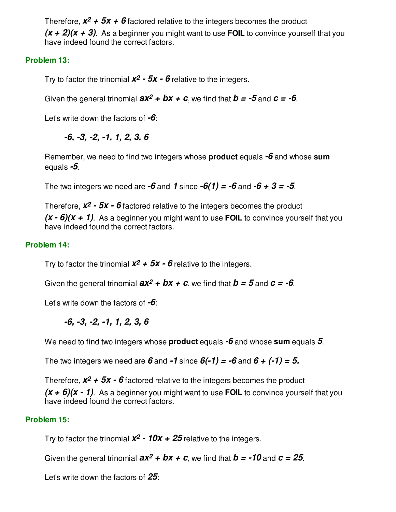Therefore,  $x^2$  +  $5x$  +  $6$  factored relative to the integers becomes the product

**(x + 2)(x + 3)**. As a beginner you might want to use **FOIL** to convince yourself that you have indeed found the correct factors.

## **Problem 13:**

Try to factor the trinomial **x2 - 5x - 6** relative to the integers.

Given the general trinomial  $ax^2 + bx + c$ , we find that  $b = -5$  and  $c = -6$ .

Let's write down the factors of **-6**:

**-6, -3, -2, -1, 1, 2, 3, 6**

Remember, we need to find two integers whose **product** equals **-6** and whose **sum** equals **-5**.

The two integers we need are  $-6$  and  $1$  since  $-6(1) = -6$  and  $-6 + 3 = -5$ .

Therefore,  $x^2 - 5x - 6$  factored relative to the integers becomes the product  $(x - 6)(x + 1)$ . As a beginner you might want to use **FOIL** to convince yourself that you have indeed found the correct factors.

## **Problem 14:**

Try to factor the trinomial  $x^2$  +  $5x$  -  $6$  relative to the integers.

Given the general trinomial  $ax^2 + bx + c$ , we find that  $b = 5$  and  $c = -6$ .

Let's write down the factors of **-6**:

**-6, -3, -2, -1, 1, 2, 3, 6**

We need to find two integers whose **product** equals **-6** and whose **sum** equals **5**.

The two integers we need are  $\boldsymbol{6}$  and  $\boldsymbol{-1}$  since  $\boldsymbol{6}(-1) = -\boldsymbol{6}$  and  $\boldsymbol{6} + (-1) = 5$ .

Therefore,  $x^2$  +  $5x$  -  $6$  factored relative to the integers becomes the product

**(x + 6)(x - 1)**. As a beginner you might want to use **FOIL** to convince yourself that you have indeed found the correct factors.

## **Problem 15:**

Try to factor the trinomial  $x^2$  -  $10x + 25$  relative to the integers.

Given the general trinomial  $ax^2 + bx + c$ , we find that  $b = -10$  and  $c = 25$ .

Let's write down the factors of **25**: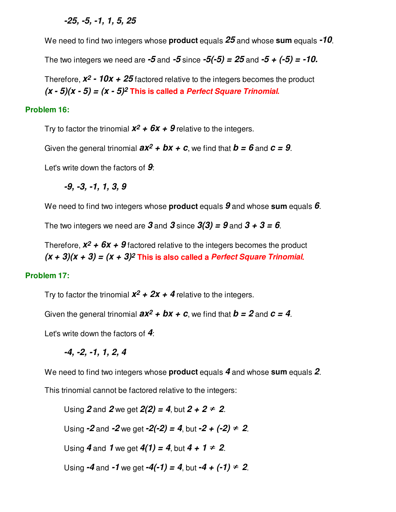### **-25, -5, -1, 1, 5, 25**

We need to find two integers whose **product** equals **25** and whose **sum** equals **-10**.

The two integers we need are  $-5$  and  $-5$  since  $-5(-5) = 25$  and  $-5 + (-5) = -10$ .

Therefore,  $x^2$  -  $10x + 25$  factored relative to the integers becomes the product  $(x - 5)(x - 5) = (x - 5)^2$  This is called a *Perfect Square Trinomial*.

#### **Problem 16:**

Try to factor the trinomial  $x^2$  +  $6x$  +  $9$  relative to the integers.

Given the general trinomial  $ax^2 + bx + c$ , we find that  $b = 6$  and  $c = 9$ .

Let's write down the factors of **9**:

**-9, -3, -1, 1, 3, 9**

We need to find two integers whose **product** equals **9** and whose **sum** equals **6**.

The two integers we need are  $3$  and  $3$  since  $3(3) = 9$  and  $3 + 3 = 6$ .

Therefore,  $x^2$  +  $6x$  +  $9$  factored relative to the integers becomes the product  $(x + 3)(x + 3) = (x + 3)^2$  This is also called a Perfect Square Trinomial.

#### **Problem 17:**

Try to factor the trinomial  $x^2 + 2x + 4$  relative to the integers.

Given the general trinomial  $ax^2 + bx + c$ , we find that  $b = 2$  and  $c = 4$ .

Let's write down the factors of **4**:

**-4, -2, -1, 1, 2, 4**

We need to find two integers whose **product** equals **4** and whose **sum** equals **2**.

This trinomial cannot be factored relative to the integers:

Using 2 and 2 we get  $2(2) = 4$ , but  $2 + 2 = 2$ .

Using  $-2$  and  $-2$  we get  $-2(-2) = 4$ , but  $-2 + (-2) = 2$ .

Using **4** and **1** we get  $4(1) = 4$ , but  $4 + 1 = 2$ .

Using  $-4$  and  $-1$  we get  $-4(-1) = 4$ , but  $-4 + (-1) = 2$ .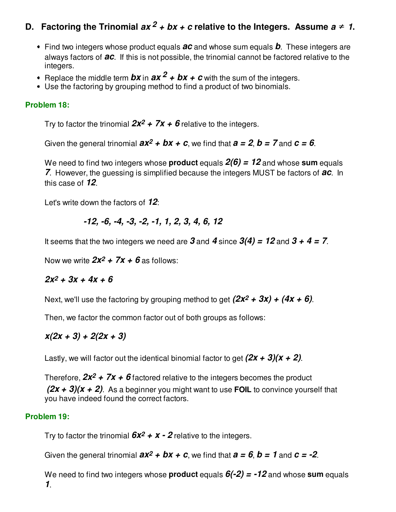# **D.** Factoring the Trinomial  $ax^2 + bx + c$  relative to the Integers. Assume  $a \ne 1$ .

- Find two integers whose product equals **ac** and whose sum equals **b**. These integers are always factors of **ac**. If this is not possible, the trinomial cannot be factored relative to the integers.
- **•** Replace the middle term  $bx$  in  $ax^2 + bx + c$  with the sum of the integers.
- Use the factoring by grouping method to find a product of two binomials.

### **Problem 18:**

Try to factor the trinomial  $2x^2 + 7x + 6$  relative to the integers.

Given the general trinomial  $ax^2 + bx + c$ , we find that  $a = 2$ ,  $b = 7$  and  $c = 6$ .

We need to find two integers whose **product** equals **2(6) = 12** and whose **sum** equals **7**. However, the guessing is simplified because the integers MUST be factors of **ac**. In this case of **12**.

Let's write down the factors of **12**:

$$
-12, -6, -4, -3, -2, -1, 1, 2, 3, 4, 6, 12
$$

It seems that the two integers we need are  $3$  and  $4$  since  $3(4) = 12$  and  $3 + 4 = 7$ .

Now we write  $2x^2 + 7x + 6$  as follows:

## $2x^2 + 3x + 4x + 6$

Next, we'll use the factoring by grouping method to get  $(2x^2 + 3x) + (4x + 6)$ .

Then, we factor the common factor out of both groups as follows:

**x(2x + 3) + 2(2x + 3)**

Lastly, we will factor out the identical binomial factor to get  $(2x + 3)(x + 2)$ .

Therefore,  $2x^2 + 7x + 6$  factored relative to the integers becomes the product **(2x + 3)(x + 2)**. As a beginner you might want to use **FOIL** to convince yourself that you have indeed found the correct factors.

#### **Problem 19:**

Try to factor the trinomial  $6x^2 + x - 2$  relative to the integers.

Given the general trinomial  $ax^2 + bx + c$ , we find that  $a = 6$ ,  $b = 1$  and  $c = -2$ .

We need to find two integers whose **product** equals  $6(-2) = -12$  and whose **sum** equals **1**.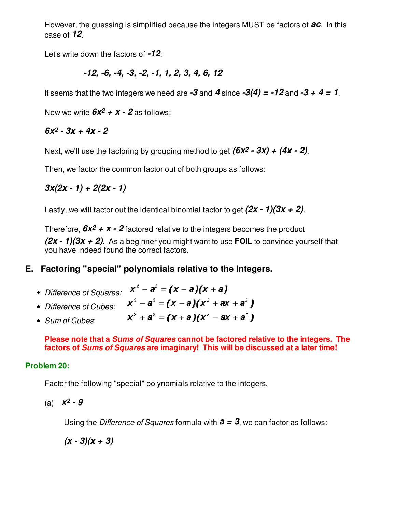However, the guessing is simplified because the integers MUST be factors of **ac**. In this case of **12**.

Let's write down the factors of **-12**:

$$
-12, -6, -4, -3, -2, -1, 1, 2, 3, 4, 6, 12
$$

It seems that the two integers we need are  $-3$  and  $4$  since  $-3(4) = -12$  and  $-3 + 4 = 1$ .

Now we write  $6x^2 + x - 2$  as follows:

## **6x2 - 3x + 4x - 2**

Next, we'll use the factoring by grouping method to get **(6x2 - 3x) + (4x - 2)**.

Then, we factor the common factor out of both groups as follows:

$$
3x(2x - 1) + 2(2x - 1)
$$

Lastly, we will factor out the identical binomial factor to get **(2x - 1)(3x + 2)**.

Therefore,  $6x^2 + x - 2$  factored relative to the integers becomes the product **(2x - 1)(3x + 2)**. As a beginner you might want to use **FOIL** to convince yourself that you have indeed found the correct factors.

# **E. Factoring "special" polynomials relative to the Integers.**

• Difference of Squares:  $x^2 - a^2 = (x - a)(x + a)$  $x^3 - a^3 = (x - a)(x^2 + ax + a^2)$ Difference of Cubes:  $x^3 + a^3 = (x + a)(x^2 - ax + a^2)$ Sum of Cubes:

**Please note that a Sums of Squares cannot be factored relative to the integers. The factors of Sums of Squares are imaginary! This will be discussed at a later time!**

### **Problem 20:**

Factor the following "special" polynomials relative to the integers.

 $(x)$  *x***<sup>2</sup> - 9** 

Using the Difference of Squares formula with **a = 3**, we can factor as follows:

 $(x - 3)(x + 3)$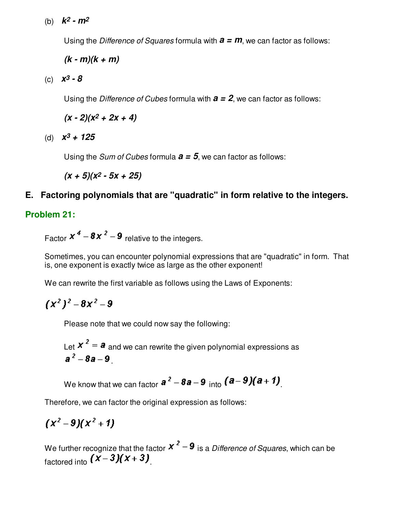(b) **k2 - m2**

Using the Difference of Squares formula with **a = m**, we can factor as follows:

**(k - m)(k + m)**

(c) **x3 - 8**

Using the Difference of Cubes formula with **a = 2**, we can factor as follows:

 $(x - 2)(x^2 + 2x + 4)$ 

(d) **x3 + 125**

Using the *Sum of Cubes* formula  $a = 5$ , we can factor as follows:

**(x + 5)(x2 - 5x + 25)**

# **E. Factoring polynomials that are "quadratic" in form relative to the integers.**

## **Problem 21:**

Factor  $x^4 - 8x^2 - 9$  relative to the integers.

Sometimes, you can encounter polynomial expressions that are "quadratic" in form. That is, one exponent is exactly twice as large as the other exponent!

We can rewrite the first variable as follows using the Laws of Exponents:

$$
(x^2)^2-8x^2-9
$$

Please note that we could now say the following:

Let  $x^2 = a$  and we can rewrite the given polynomial expressions as  $a^2 - 8a - 9$ 

We know that we can factor 
$$
\mathbf{a}^2 - \mathbf{8a} - \mathbf{9}
$$
 into  $(\mathbf{a} - \mathbf{9})(\mathbf{a} + \mathbf{1})$ .

Therefore, we can factor the original expression as follows:

$$
(x^2-9)(x^2+1)
$$

We further recognize that the factor  $x^2 - 9$  is a Difference of Squares, which can be factored into  $(\overline{X} - 3)(\overline{X} + 3)$